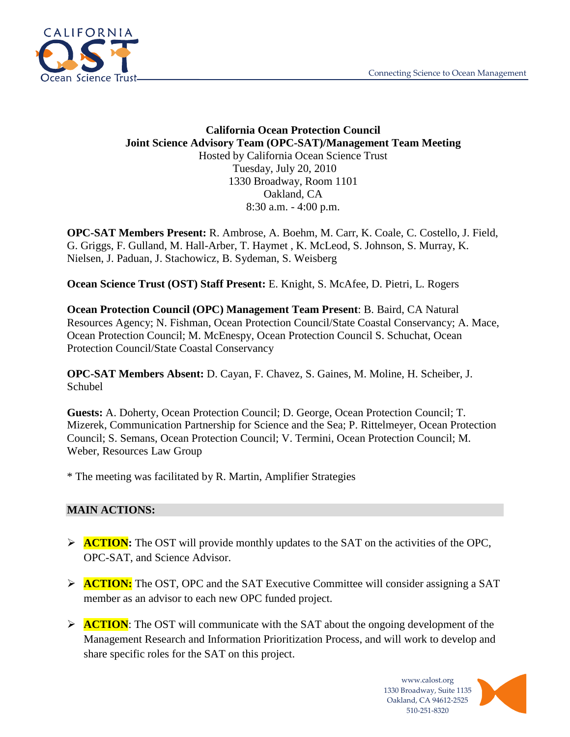

### **California Ocean Protection Council Joint Science Advisory Team (OPC-SAT)/Management Team Meeting** Hosted by California Ocean Science Trust Tuesday, July 20, 2010 1330 Broadway, Room 1101 Oakland, CA 8:30 a.m. - 4:00 p.m.

**OPC-SAT Members Present:** R. Ambrose, A. Boehm, M. Carr, K. Coale, C. Costello, J. Field, G. Griggs, F. Gulland, M. Hall-Arber, T. Haymet , K. McLeod, S. Johnson, S. Murray, K. Nielsen, J. Paduan, J. Stachowicz, B. Sydeman, S. Weisberg

**Ocean Science Trust (OST) Staff Present:** E. Knight, S. McAfee, D. Pietri, L. Rogers

**Ocean Protection Council (OPC) Management Team Present**: B. Baird, CA Natural Resources Agency; N. Fishman, Ocean Protection Council/State Coastal Conservancy; A. Mace, Ocean Protection Council; M. McEnespy, Ocean Protection Council S. Schuchat, Ocean Protection Council/State Coastal Conservancy

**OPC-SAT Members Absent:** D. Cayan, F. Chavez, S. Gaines, M. Moline, H. Scheiber, J. Schubel

**Guests:** A. Doherty, Ocean Protection Council; D. George, Ocean Protection Council; T. Mizerek, Communication Partnership for Science and the Sea; P. Rittelmeyer, Ocean Protection Council; S. Semans, Ocean Protection Council; V. Termini, Ocean Protection Council; M. Weber, Resources Law Group

\* The meeting was facilitated by R. Martin, Amplifier Strategies

### **MAIN ACTIONS:**

- **ACTION:** The OST will provide monthly updates to the SAT on the activities of the OPC, OPC-SAT, and Science Advisor.
- **ACTION:** The OST, OPC and the SAT Executive Committee will consider assigning a SAT member as an advisor to each new OPC funded project.
- **ACTION:** The OST will communicate with the SAT about the ongoing development of the Management Research and Information Prioritization Process, and will work to develop and share specific roles for the SAT on this project.

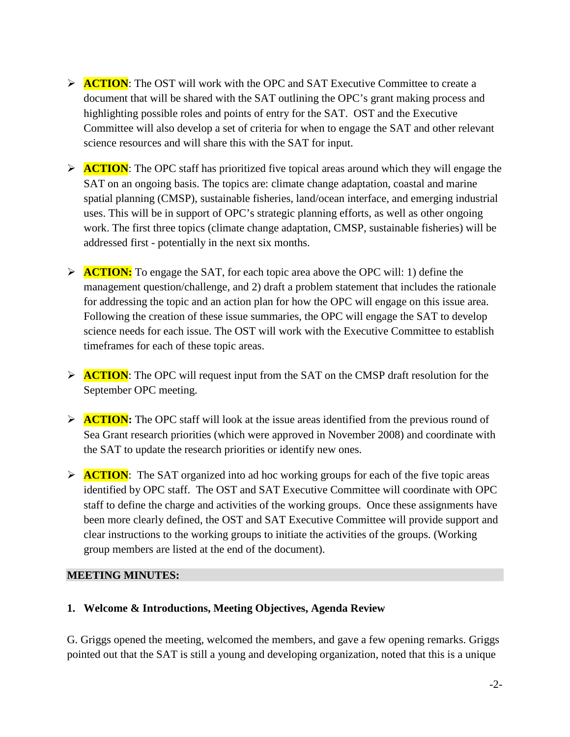- **ACTION:** The OST will work with the OPC and SAT Executive Committee to create a document that will be shared with the SAT outlining the OPC's grant making process and highlighting possible roles and points of entry for the SAT. OST and the Executive Committee will also develop a set of criteria for when to engage the SAT and other relevant science resources and will share this with the SAT for input.
- **ACTION:** The OPC staff has prioritized five topical areas around which they will engage the SAT on an ongoing basis. The topics are: climate change adaptation, coastal and marine spatial planning (CMSP), sustainable fisheries, land/ocean interface, and emerging industrial uses. This will be in support of OPC's strategic planning efforts, as well as other ongoing work. The first three topics (climate change adaptation, CMSP, sustainable fisheries) will be addressed first - potentially in the next six months.
- ACTION: To engage the SAT, for each topic area above the OPC will: 1) define the management question/challenge, and 2) draft a problem statement that includes the rationale for addressing the topic and an action plan for how the OPC will engage on this issue area. Following the creation of these issue summaries, the OPC will engage the SAT to develop science needs for each issue. The OST will work with the Executive Committee to establish timeframes for each of these topic areas.
- **ACTION:** The OPC will request input from the SAT on the CMSP draft resolution for the September OPC meeting.
- **ACTION:** The OPC staff will look at the issue areas identified from the previous round of Sea Grant research priorities (which were approved in November 2008) and coordinate with the SAT to update the research priorities or identify new ones.
- **ACTION:** The SAT organized into ad hoc working groups for each of the five topic areas identified by OPC staff. The OST and SAT Executive Committee will coordinate with OPC staff to define the charge and activities of the working groups. Once these assignments have been more clearly defined, the OST and SAT Executive Committee will provide support and clear instructions to the working groups to initiate the activities of the groups. (Working group members are listed at the end of the document).

### **MEETING MINUTES:**

### **1. Welcome & Introductions, Meeting Objectives, Agenda Review**

G. Griggs opened the meeting, welcomed the members, and gave a few opening remarks. Griggs pointed out that the SAT is still a young and developing organization, noted that this is a unique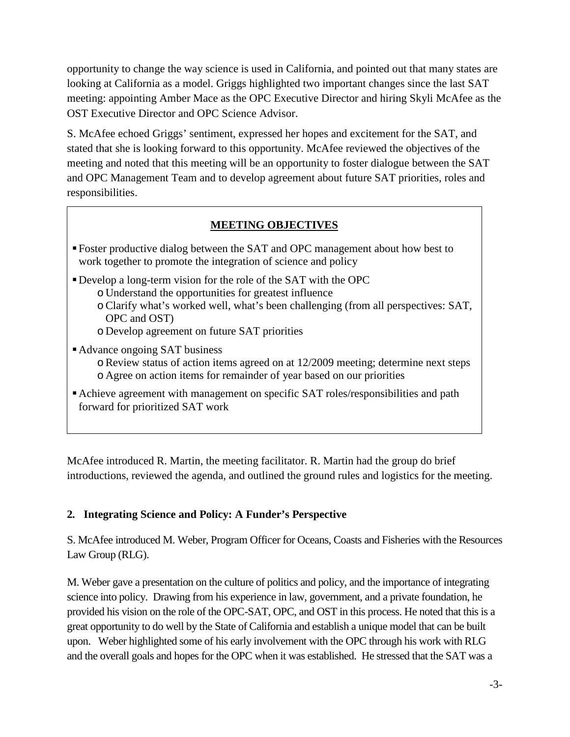opportunity to change the way science is used in California, and pointed out that many states are looking at California as a model. Griggs highlighted two important changes since the last SAT meeting: appointing Amber Mace as the OPC Executive Director and hiring Skyli McAfee as the OST Executive Director and OPC Science Advisor.

S. McAfee echoed Griggs' sentiment, expressed her hopes and excitement for the SAT, and stated that she is looking forward to this opportunity. McAfee reviewed the objectives of the meeting and noted that this meeting will be an opportunity to foster dialogue between the SAT and OPC Management Team and to develop agreement about future SAT priorities, roles and responsibilities.

### **MEETING OBJECTIVES**

- Foster productive dialog between the SAT and OPC management about how best to work together to promote the integration of science and policy
- Develop a long-term vision for the role of the SAT with the OPC
	- o Understand the opportunities for greatest influence
	- oClarify what's worked well, what's been challenging (from all perspectives: SAT, OPC and OST)
	- o Develop agreement on future SAT priorities
- Advance ongoing SAT business
	- $\circ$  Review status of action items agreed on at 12/2009 meeting; determine next steps o Agree on action items for remainder of year based on our priorities
- Achieve agreement with management on specific SAT roles/responsibilities and path forward for prioritized SAT work

McAfee introduced R. Martin, the meeting facilitator. R. Martin had the group do brief introductions, reviewed the agenda, and outlined the ground rules and logistics for the meeting.

### **2. Integrating Science and Policy: A Funder's Perspective**

S. McAfee introduced M. Weber, Program Officer for Oceans, Coasts and Fisheries with the Resources Law Group (RLG).

M. Weber gave a presentation on the culture of politics and policy, and the importance of integrating science into policy. Drawing from his experience in law, government, and a private foundation, he provided his vision on the role of the OPC-SAT, OPC, and OST in this process. He noted that this is a great opportunity to do well by the State of California and establish a unique model that can be built upon. Weber highlighted some of his early involvement with the OPC through his work with RLG and the overall goals and hopes for the OPC when it was established. He stressed that the SAT was a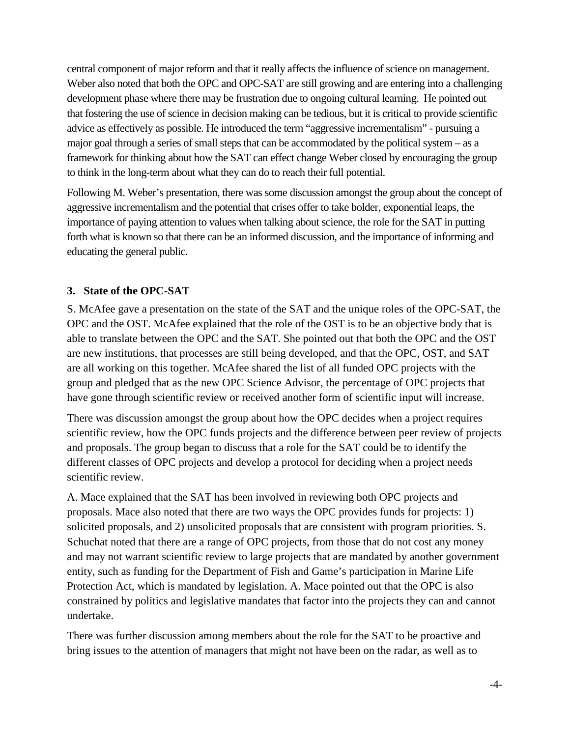central component of major reform and that it really affects the influence of science on management. Weber also noted that both the OPC and OPC-SAT are still growing and are entering into a challenging development phase where there may be frustration due to ongoing cultural learning. He pointed out that fostering the use of science in decision making can be tedious, but it is critical to provide scientific advice as effectively as possible. He introduced the term "aggressive incrementalism" - pursuing a major goal through a series of small steps that can be accommodated by the political system – as a framework for thinking about how the SAT can effect change Weber closed by encouraging the group to think in the long-term about what they can do to reach their full potential.

Following M. Weber's presentation, there was some discussion amongst the group about the concept of aggressive incrementalism and the potential that crises offer to take bolder, exponential leaps, the importance of paying attention to values when talking about science, the role for the SAT in putting forth what is known so that there can be an informed discussion, and the importance of informing and educating the general public.

### **3. State of the OPC-SAT**

S. McAfee gave a presentation on the state of the SAT and the unique roles of the OPC-SAT, the OPC and the OST. McAfee explained that the role of the OST is to be an objective body that is able to translate between the OPC and the SAT. She pointed out that both the OPC and the OST are new institutions, that processes are still being developed, and that the OPC, OST, and SAT are all working on this together. McAfee shared the list of all funded OPC projects with the group and pledged that as the new OPC Science Advisor, the percentage of OPC projects that have gone through scientific review or received another form of scientific input will increase.

There was discussion amongst the group about how the OPC decides when a project requires scientific review, how the OPC funds projects and the difference between peer review of projects and proposals. The group began to discuss that a role for the SAT could be to identify the different classes of OPC projects and develop a protocol for deciding when a project needs scientific review.

A. Mace explained that the SAT has been involved in reviewing both OPC projects and proposals. Mace also noted that there are two ways the OPC provides funds for projects: 1) solicited proposals, and 2) unsolicited proposals that are consistent with program priorities. S. Schuchat noted that there are a range of OPC projects, from those that do not cost any money and may not warrant scientific review to large projects that are mandated by another government entity, such as funding for the Department of Fish and Game's participation in Marine Life Protection Act, which is mandated by legislation. A. Mace pointed out that the OPC is also constrained by politics and legislative mandates that factor into the projects they can and cannot undertake.

There was further discussion among members about the role for the SAT to be proactive and bring issues to the attention of managers that might not have been on the radar, as well as to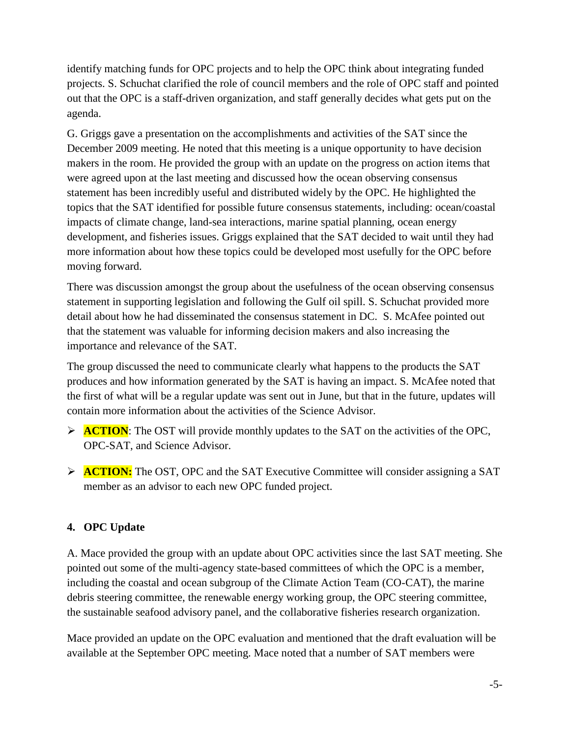identify matching funds for OPC projects and to help the OPC think about integrating funded projects. S. Schuchat clarified the role of council members and the role of OPC staff and pointed out that the OPC is a staff-driven organization, and staff generally decides what gets put on the agenda.

G. Griggs gave a presentation on the accomplishments and activities of the SAT since the December 2009 meeting. He noted that this meeting is a unique opportunity to have decision makers in the room. He provided the group with an update on the progress on action items that were agreed upon at the last meeting and discussed how the ocean observing consensus statement has been incredibly useful and distributed widely by the OPC. He highlighted the topics that the SAT identified for possible future consensus statements, including: ocean/coastal impacts of climate change, land-sea interactions, marine spatial planning, ocean energy development, and fisheries issues. Griggs explained that the SAT decided to wait until they had more information about how these topics could be developed most usefully for the OPC before moving forward.

There was discussion amongst the group about the usefulness of the ocean observing consensus statement in supporting legislation and following the Gulf oil spill. S. Schuchat provided more detail about how he had disseminated the consensus statement in DC. S. McAfee pointed out that the statement was valuable for informing decision makers and also increasing the importance and relevance of the SAT.

The group discussed the need to communicate clearly what happens to the products the SAT produces and how information generated by the SAT is having an impact. S. McAfee noted that the first of what will be a regular update was sent out in June, but that in the future, updates will contain more information about the activities of the Science Advisor.

- **ACTION:** The OST will provide monthly updates to the SAT on the activities of the OPC, OPC-SAT, and Science Advisor.
- **ACTION:** The OST, OPC and the SAT Executive Committee will consider assigning a SAT member as an advisor to each new OPC funded project.

# **4. OPC Update**

A. Mace provided the group with an update about OPC activities since the last SAT meeting. She pointed out some of the multi-agency state-based committees of which the OPC is a member, including the coastal and ocean subgroup of the Climate Action Team (CO-CAT), the marine debris steering committee, the renewable energy working group, the OPC steering committee, the sustainable seafood advisory panel, and the collaborative fisheries research organization.

Mace provided an update on the OPC evaluation and mentioned that the draft evaluation will be available at the September OPC meeting. Mace noted that a number of SAT members were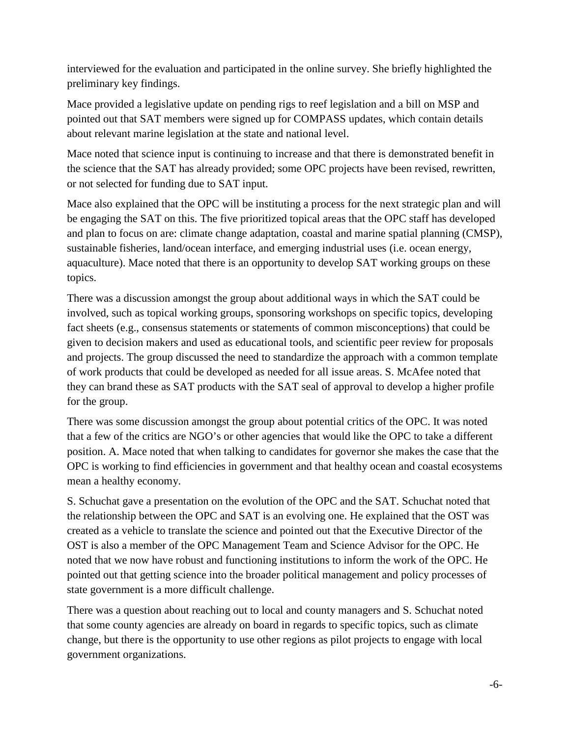interviewed for the evaluation and participated in the online survey. She briefly highlighted the preliminary key findings.

Mace provided a legislative update on pending rigs to reef legislation and a bill on MSP and pointed out that SAT members were signed up for COMPASS updates, which contain details about relevant marine legislation at the state and national level.

Mace noted that science input is continuing to increase and that there is demonstrated benefit in the science that the SAT has already provided; some OPC projects have been revised, rewritten, or not selected for funding due to SAT input.

Mace also explained that the OPC will be instituting a process for the next strategic plan and will be engaging the SAT on this. The five prioritized topical areas that the OPC staff has developed and plan to focus on are: climate change adaptation, coastal and marine spatial planning (CMSP), sustainable fisheries, land/ocean interface, and emerging industrial uses (i.e. ocean energy, aquaculture). Mace noted that there is an opportunity to develop SAT working groups on these topics.

There was a discussion amongst the group about additional ways in which the SAT could be involved, such as topical working groups, sponsoring workshops on specific topics, developing fact sheets (e.g., consensus statements or statements of common misconceptions) that could be given to decision makers and used as educational tools, and scientific peer review for proposals and projects. The group discussed the need to standardize the approach with a common template of work products that could be developed as needed for all issue areas. S. McAfee noted that they can brand these as SAT products with the SAT seal of approval to develop a higher profile for the group.

There was some discussion amongst the group about potential critics of the OPC. It was noted that a few of the critics are NGO's or other agencies that would like the OPC to take a different position. A. Mace noted that when talking to candidates for governor she makes the case that the OPC is working to find efficiencies in government and that healthy ocean and coastal ecosystems mean a healthy economy.

S. Schuchat gave a presentation on the evolution of the OPC and the SAT. Schuchat noted that the relationship between the OPC and SAT is an evolving one. He explained that the OST was created as a vehicle to translate the science and pointed out that the Executive Director of the OST is also a member of the OPC Management Team and Science Advisor for the OPC. He noted that we now have robust and functioning institutions to inform the work of the OPC. He pointed out that getting science into the broader political management and policy processes of state government is a more difficult challenge.

There was a question about reaching out to local and county managers and S. Schuchat noted that some county agencies are already on board in regards to specific topics, such as climate change, but there is the opportunity to use other regions as pilot projects to engage with local government organizations.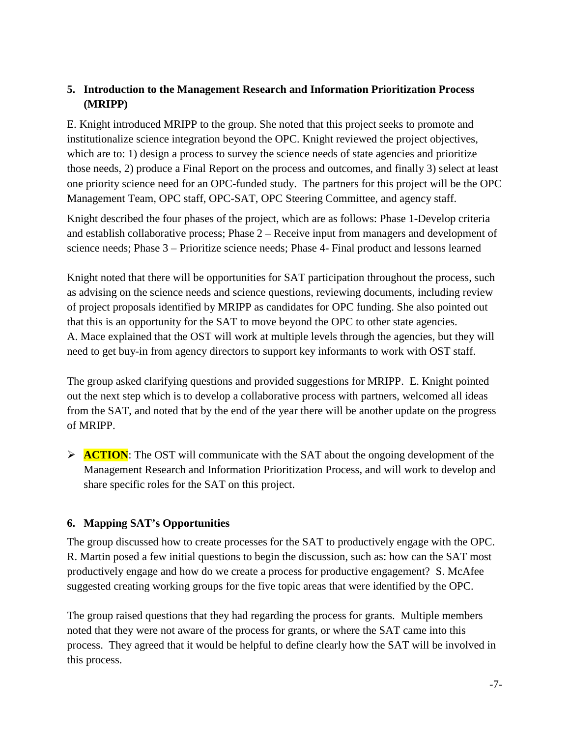## **5. Introduction to the Management Research and Information Prioritization Process (MRIPP)**

E. Knight introduced MRIPP to the group. She noted that this project seeks to promote and institutionalize science integration beyond the OPC. Knight reviewed the project objectives, which are to: 1) design a process to survey the science needs of state agencies and prioritize those needs, 2) produce a Final Report on the process and outcomes, and finally 3) select at least one priority science need for an OPC-funded study. The partners for this project will be the OPC Management Team, OPC staff, OPC-SAT, OPC Steering Committee, and agency staff.

Knight described the four phases of the project, which are as follows: Phase 1-Develop criteria and establish collaborative process; Phase 2 – Receive input from managers and development of science needs; Phase 3 – Prioritize science needs; Phase 4- Final product and lessons learned

Knight noted that there will be opportunities for SAT participation throughout the process, such as advising on the science needs and science questions, reviewing documents, including review of project proposals identified by MRIPP as candidates for OPC funding. She also pointed out that this is an opportunity for the SAT to move beyond the OPC to other state agencies. A. Mace explained that the OST will work at multiple levels through the agencies, but they will need to get buy-in from agency directors to support key informants to work with OST staff.

The group asked clarifying questions and provided suggestions for MRIPP. E. Knight pointed out the next step which is to develop a collaborative process with partners, welcomed all ideas from the SAT, and noted that by the end of the year there will be another update on the progress of MRIPP.

**ACTION:** The OST will communicate with the SAT about the ongoing development of the Management Research and Information Prioritization Process, and will work to develop and share specific roles for the SAT on this project.

### **6. Mapping SAT's Opportunities**

The group discussed how to create processes for the SAT to productively engage with the OPC. R. Martin posed a few initial questions to begin the discussion, such as: how can the SAT most productively engage and how do we create a process for productive engagement? S. McAfee suggested creating working groups for the five topic areas that were identified by the OPC.

The group raised questions that they had regarding the process for grants. Multiple members noted that they were not aware of the process for grants, or where the SAT came into this process. They agreed that it would be helpful to define clearly how the SAT will be involved in this process.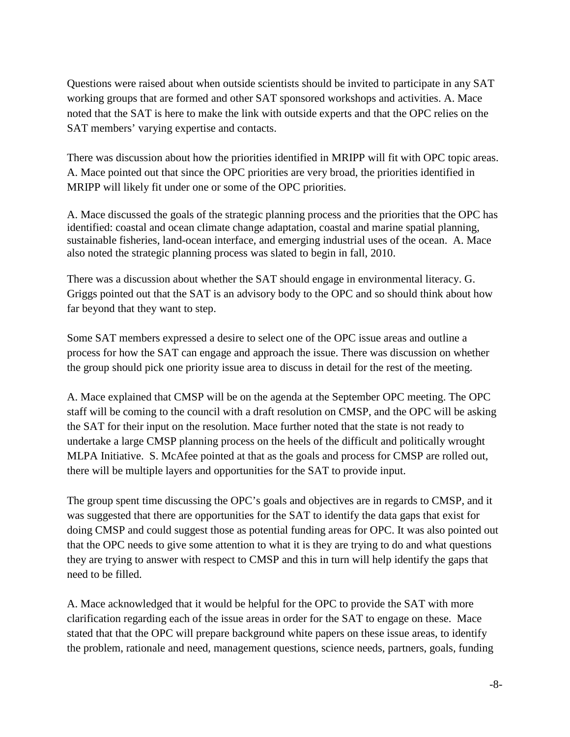Questions were raised about when outside scientists should be invited to participate in any SAT working groups that are formed and other SAT sponsored workshops and activities. A. Mace noted that the SAT is here to make the link with outside experts and that the OPC relies on the SAT members' varying expertise and contacts.

There was discussion about how the priorities identified in MRIPP will fit with OPC topic areas. A. Mace pointed out that since the OPC priorities are very broad, the priorities identified in MRIPP will likely fit under one or some of the OPC priorities.

A. Mace discussed the goals of the strategic planning process and the priorities that the OPC has identified: coastal and ocean climate change adaptation, coastal and marine spatial planning, sustainable fisheries, land-ocean interface, and emerging industrial uses of the ocean. A. Mace also noted the strategic planning process was slated to begin in fall, 2010.

There was a discussion about whether the SAT should engage in environmental literacy. G. Griggs pointed out that the SAT is an advisory body to the OPC and so should think about how far beyond that they want to step.

Some SAT members expressed a desire to select one of the OPC issue areas and outline a process for how the SAT can engage and approach the issue. There was discussion on whether the group should pick one priority issue area to discuss in detail for the rest of the meeting.

A. Mace explained that CMSP will be on the agenda at the September OPC meeting. The OPC staff will be coming to the council with a draft resolution on CMSP, and the OPC will be asking the SAT for their input on the resolution. Mace further noted that the state is not ready to undertake a large CMSP planning process on the heels of the difficult and politically wrought MLPA Initiative. S. McAfee pointed at that as the goals and process for CMSP are rolled out, there will be multiple layers and opportunities for the SAT to provide input.

The group spent time discussing the OPC's goals and objectives are in regards to CMSP, and it was suggested that there are opportunities for the SAT to identify the data gaps that exist for doing CMSP and could suggest those as potential funding areas for OPC. It was also pointed out that the OPC needs to give some attention to what it is they are trying to do and what questions they are trying to answer with respect to CMSP and this in turn will help identify the gaps that need to be filled.

A. Mace acknowledged that it would be helpful for the OPC to provide the SAT with more clarification regarding each of the issue areas in order for the SAT to engage on these. Mace stated that that the OPC will prepare background white papers on these issue areas, to identify the problem, rationale and need, management questions, science needs, partners, goals, funding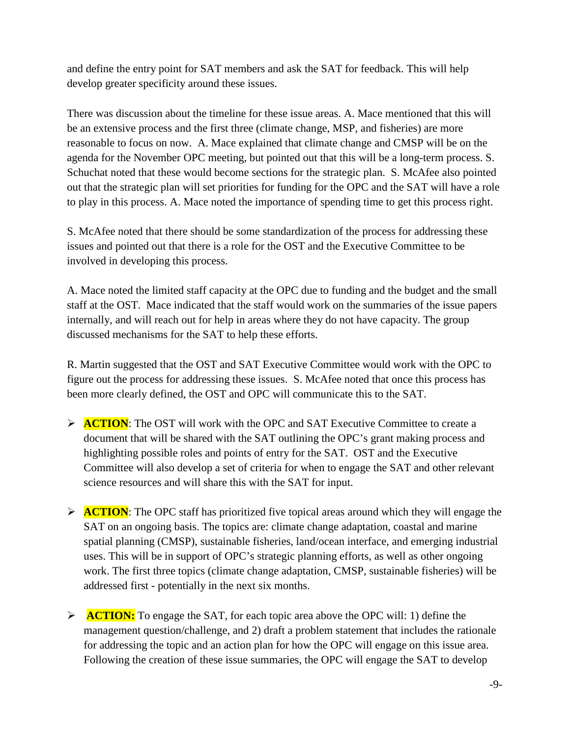and define the entry point for SAT members and ask the SAT for feedback. This will help develop greater specificity around these issues.

There was discussion about the timeline for these issue areas. A. Mace mentioned that this will be an extensive process and the first three (climate change, MSP, and fisheries) are more reasonable to focus on now. A. Mace explained that climate change and CMSP will be on the agenda for the November OPC meeting, but pointed out that this will be a long-term process. S. Schuchat noted that these would become sections for the strategic plan. S. McAfee also pointed out that the strategic plan will set priorities for funding for the OPC and the SAT will have a role to play in this process. A. Mace noted the importance of spending time to get this process right.

S. McAfee noted that there should be some standardization of the process for addressing these issues and pointed out that there is a role for the OST and the Executive Committee to be involved in developing this process.

A. Mace noted the limited staff capacity at the OPC due to funding and the budget and the small staff at the OST. Mace indicated that the staff would work on the summaries of the issue papers internally, and will reach out for help in areas where they do not have capacity. The group discussed mechanisms for the SAT to help these efforts.

R. Martin suggested that the OST and SAT Executive Committee would work with the OPC to figure out the process for addressing these issues. S. McAfee noted that once this process has been more clearly defined, the OST and OPC will communicate this to the SAT.

- **ACTION:** The OST will work with the OPC and SAT Executive Committee to create a document that will be shared with the SAT outlining the OPC's grant making process and highlighting possible roles and points of entry for the SAT. OST and the Executive Committee will also develop a set of criteria for when to engage the SAT and other relevant science resources and will share this with the SAT for input.
- **ACTION:** The OPC staff has prioritized five topical areas around which they will engage the SAT on an ongoing basis. The topics are: climate change adaptation, coastal and marine spatial planning (CMSP), sustainable fisheries, land/ocean interface, and emerging industrial uses. This will be in support of OPC's strategic planning efforts, as well as other ongoing work. The first three topics (climate change adaptation, CMSP, sustainable fisheries) will be addressed first - potentially in the next six months.
- **ACTION:** To engage the SAT, for each topic area above the OPC will: 1) define the management question/challenge, and 2) draft a problem statement that includes the rationale for addressing the topic and an action plan for how the OPC will engage on this issue area. Following the creation of these issue summaries, the OPC will engage the SAT to develop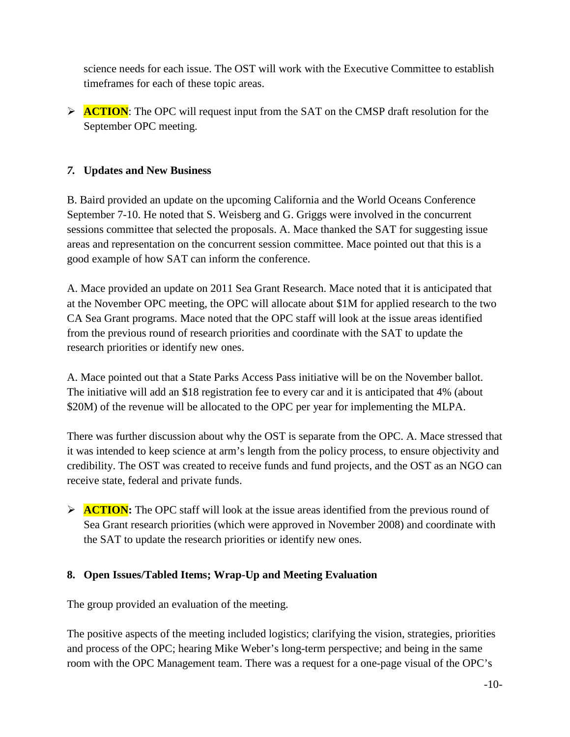science needs for each issue. The OST will work with the Executive Committee to establish timeframes for each of these topic areas.

**ACTION:** The OPC will request input from the SAT on the CMSP draft resolution for the September OPC meeting.

### *7.* **Updates and New Business**

B. Baird provided an update on the upcoming California and the World Oceans Conference September 7-10. He noted that S. Weisberg and G. Griggs were involved in the concurrent sessions committee that selected the proposals. A. Mace thanked the SAT for suggesting issue areas and representation on the concurrent session committee. Mace pointed out that this is a good example of how SAT can inform the conference.

A. Mace provided an update on 2011 Sea Grant Research. Mace noted that it is anticipated that at the November OPC meeting, the OPC will allocate about \$1M for applied research to the two CA Sea Grant programs. Mace noted that the OPC staff will look at the issue areas identified from the previous round of research priorities and coordinate with the SAT to update the research priorities or identify new ones.

A. Mace pointed out that a State Parks Access Pass initiative will be on the November ballot. The initiative will add an \$18 registration fee to every car and it is anticipated that 4% (about \$20M) of the revenue will be allocated to the OPC per year for implementing the MLPA.

There was further discussion about why the OST is separate from the OPC. A. Mace stressed that it was intended to keep science at arm's length from the policy process, to ensure objectivity and credibility. The OST was created to receive funds and fund projects, and the OST as an NGO can receive state, federal and private funds.

**ACTION:** The OPC staff will look at the issue areas identified from the previous round of Sea Grant research priorities (which were approved in November 2008) and coordinate with the SAT to update the research priorities or identify new ones.

### **8. Open Issues/Tabled Items; Wrap-Up and Meeting Evaluation**

The group provided an evaluation of the meeting.

The positive aspects of the meeting included logistics; clarifying the vision, strategies, priorities and process of the OPC; hearing Mike Weber's long-term perspective; and being in the same room with the OPC Management team. There was a request for a one-page visual of the OPC's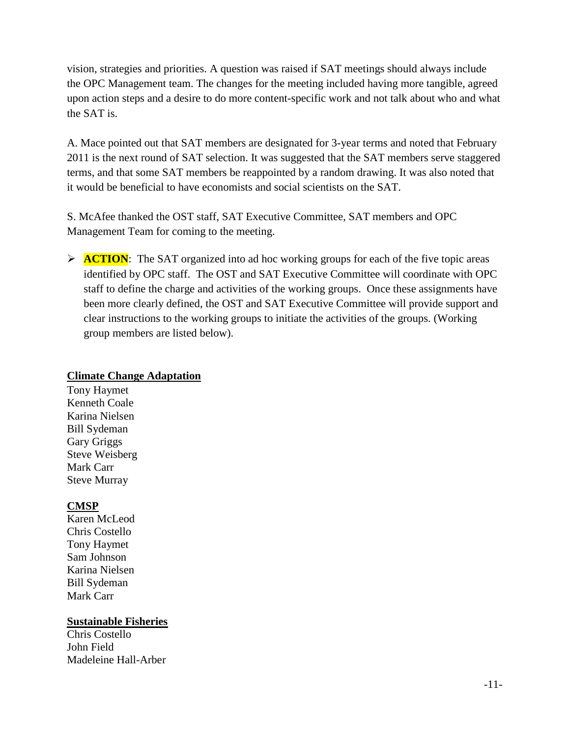vision, strategies and priorities. A question was raised if SAT meetings should always include the OPC Management team. The changes for the meeting included having more tangible, agreed upon action steps and a desire to do more content-specific work and not talk about who and what the SAT is.

A. Mace pointed out that SAT members are designated for 3-year terms and noted that February 2011 is the next round of SAT selection. It was suggested that the SAT members serve staggered terms, and that some SAT members be reappointed by a random drawing. It was also noted that it would be beneficial to have economists and social scientists on the SAT.

S. McAfee thanked the OST staff, SAT Executive Committee, SAT members and OPC Management Team for coming to the meeting.

**ACTION:** The SAT organized into ad hoc working groups for each of the five topic areas identified by OPC staff. The OST and SAT Executive Committee will coordinate with OPC staff to define the charge and activities of the working groups. Once these assignments have been more clearly defined, the OST and SAT Executive Committee will provide support and clear instructions to the working groups to initiate the activities of the groups. (Working group members are listed below).

#### **Climate Change Adaptation**

Tony Haymet Kenneth Coale Karina Nielsen Bill Sydeman Gary Griggs Steve Weisberg Mark Carr Steve Murray

### **CMSP**

Karen McLeod Chris Costello Tony Haymet Sam Johnson Karina Nielsen Bill Sydeman Mark Carr

### **Sustainable Fisheries**

Chris Costello John Field Madeleine Hall-Arber